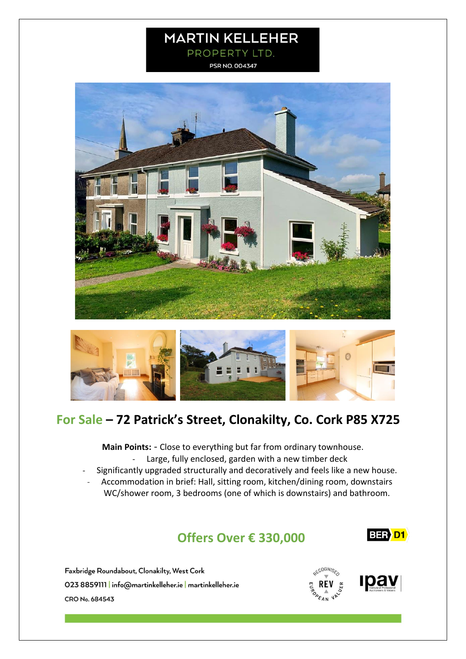# **MARTIN KELLEHER** PROPERTY LTD.

PSR NO. 004347





# **For Sale – 72 Patrick's Street, Clonakilty, Co. Cork P85 X725**

**Main Points:** - Close to everything but far from ordinary townhouse. - Large, fully enclosed, garden with a new timber deck

- Significantly upgraded structurally and decoratively and feels like a new house.
	- Accommodation in brief: Hall, sitting room, kitchen/dining room, downstairs WC/shower room, 3 bedrooms (one of which is downstairs) and bathroom.

# **Offers Over € 330,000**

**BER D1** 

Faxbridge Roundabout, Clonakilty, West Cork 023 8859111 | info@martinkelleher.ie | martinkelleher.ie CRO No. 684543



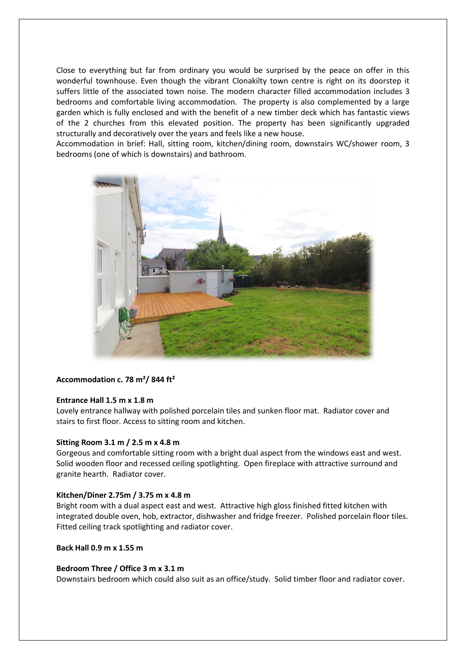Close to everything but far from ordinary you would be surprised by the peace on offer in this wonderful townhouse. Even though the vibrant Clonakilty town centre is right on its doorstep it suffers little of the associated town noise. The modern character filled accommodation includes 3 bedrooms and comfortable living accommodation. The property is also complemented by a large garden which is fully enclosed and with the benefit of a new timber deck which has fantastic views of the 2 churches from this elevated position. The property has been significantly upgraded structurally and decoratively over the years and feels like a new house.

Accommodation in brief: Hall, sitting room, kitchen/dining room, downstairs WC/shower room, 3 bedrooms (one of which is downstairs) and bathroom.



# **Accommodation c. 78 m²/ 844 ft²**

# **Entrance Hall 1.5 m x 1.8 m**

Lovely entrance hallway with polished porcelain tiles and sunken floor mat. Radiator cover and stairs to first floor. Access to sitting room and kitchen.

### **Sitting Room 3.1 m / 2.5 m x 4.8 m**

Gorgeous and comfortable sitting room with a bright dual aspect from the windows east and west. Solid wooden floor and recessed ceiling spotlighting. Open fireplace with attractive surround and granite hearth. Radiator cover.

### **Kitchen/Diner 2.75m / 3.75 m x 4.8 m**

Bright room with a dual aspect east and west. Attractive high gloss finished fitted kitchen with integrated double oven, hob, extractor, dishwasher and fridge freezer. Polished porcelain floor tiles. Fitted ceiling track spotlighting and radiator cover.

# **Back Hall 0.9 m x 1.55 m**

### **Bedroom Three / Office 3 m x 3.1 m**

Downstairs bedroom which could also suit as an office/study. Solid timber floor and radiator cover.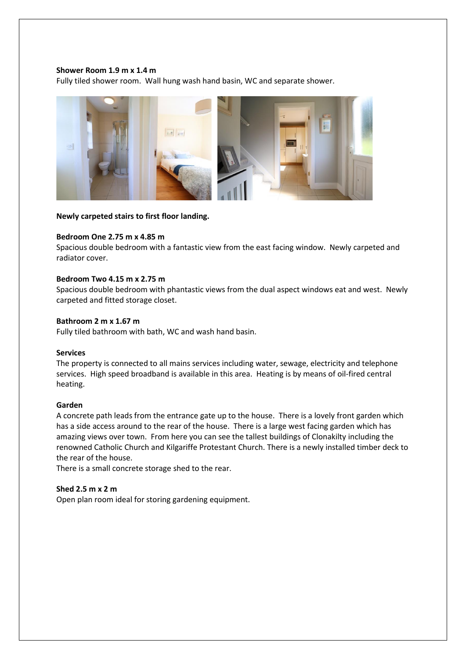# **Shower Room 1.9 m x 1.4 m**

Fully tiled shower room. Wall hung wash hand basin, WC and separate shower.



**Newly carpeted stairs to first floor landing.**

## **Bedroom One 2.75 m x 4.85 m**

Spacious double bedroom with a fantastic view from the east facing window. Newly carpeted and radiator cover.

### **Bedroom Two 4.15 m x 2.75 m**

Spacious double bedroom with phantastic views from the dual aspect windows eat and west. Newly carpeted and fitted storage closet.

# **Bathroom 2 m x 1.67 m**

Fully tiled bathroom with bath, WC and wash hand basin.

### **Services**

The property is connected to all mains services including water, sewage, electricity and telephone services. High speed broadband is available in this area. Heating is by means of oil-fired central heating.

### **Garden**

A concrete path leads from the entrance gate up to the house. There is a lovely front garden which has a side access around to the rear of the house. There is a large west facing garden which has amazing views over town. From here you can see the tallest buildings of Clonakilty including the renowned Catholic Church and Kilgariffe Protestant Church. There is a newly installed timber deck to the rear of the house.

There is a small concrete storage shed to the rear.

### **Shed 2.5 m x 2 m**

Open plan room ideal for storing gardening equipment.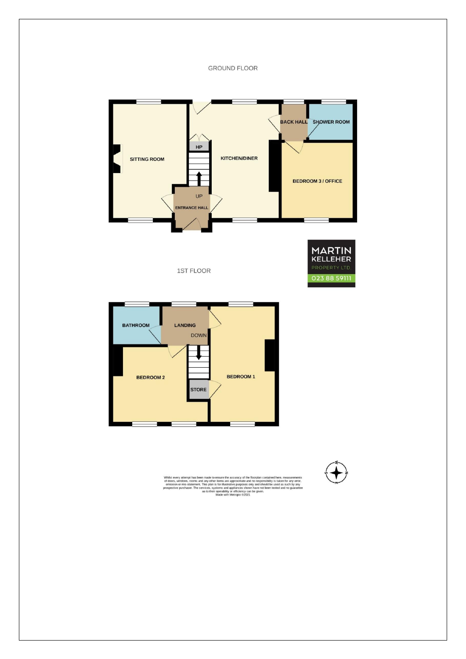**GROUND FLOOR** 







Whilst every attempt has been made to ensure the accuracy of the floorplan contained here, measurements of doors, windows, rooms and any other items are approximate and no responsibilly is taken for any error, on one cons